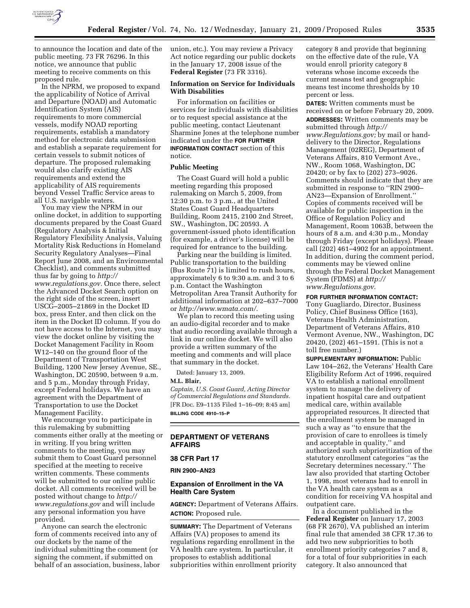

to announce the location and date of the public meeting. 73 FR 76296. In this notice, we announce that public meeting to receive comments on this proposed rule.

In the NPRM, we proposed to expand the applicability of Notice of Arrival and Departure (NOAD) and Automatic Identification System (AIS) requirements to more commercial vessels, modify NOAD reporting requirements, establish a mandatory method for electronic data submission and establish a separate requirement for certain vessels to submit notices of departure. The proposed rulemaking would also clarify existing AIS requirements and extend the applicability of AIS requirements beyond Vessel Traffic Service areas to all U.S. navigable waters.

You may view the NPRM in our online docket, in addition to supporting documents prepared by the Coast Guard (Regulatory Analysis & Initial Regulatory Flexibility Analysis, Valuing Mortality Risk Reductions in Homeland Security Regulatory Analyses—Final Report June 2008, and an Environmental Checklist), and comments submitted thus far by going to *http:// www.regulations.gov.* Once there, select the Advanced Docket Search option on the right side of the screen, insert USCG–2005–21869 in the Docket ID box, press Enter, and then click on the item in the Docket ID column. If you do not have access to the Internet, you may view the docket online by visiting the Docket Management Facility in Room W12–140 on the ground floor of the Department of Transportation West Building, 1200 New Jersey Avenue, SE., Washington, DC 20590, between 9 a.m. and 5 p.m., Monday through Friday, except Federal holidays. We have an agreement with the Department of Transportation to use the Docket Management Facility.

We encourage you to participate in this rulemaking by submitting comments either orally at the meeting or in writing. If you bring written comments to the meeting, you may submit them to Coast Guard personnel specified at the meeting to receive written comments. These comments will be submitted to our online public docket. All comments received will be posted without change to *http:// www.regulations.gov* and will include any personal information you have provided.

Anyone can search the electronic form of comments received into any of our dockets by the name of the individual submitting the comment (or signing the comment, if submitted on behalf of an association, business, labor union, etc.). You may review a Privacy Act notice regarding our public dockets in the January 17, 2008 issue of the **Federal Register** (73 FR 3316).

# **Information on Service for Individuals With Disabilities**

For information on facilities or services for individuals with disabilities or to request special assistance at the public meeting, contact Lieutenant Sharmine Jones at the telephone number indicated under the **FOR FURTHER INFORMATION CONTACT** section of this notice.

#### **Public Meeting**

The Coast Guard will hold a public meeting regarding this proposed rulemaking on March 5, 2009, from 12:30 p.m. to 3 p.m., at the United States Coast Guard Headquarters Building, Room 2415, 2100 2nd Street, SW., Washington, DC 20593. A government-issued photo identification (for example, a driver's license) will be required for entrance to the building.

Parking near the building is limited. Public transportation to the building (Bus Route 71) is limited to rush hours, approximately 6 to 9:30 a.m. and 3 to 6 p.m. Contact the Washington Metropolitan Area Transit Authority for additional information at 202–637–7000 or *http://www.wmata.com/.* 

We plan to record this meeting using an audio-digital recorder and to make that audio recording available through a link in our online docket. We will also provide a written summary of the meeting and comments and will place that summary in the docket.

Dated: January 13, 2009.

#### **M.L. Blair,**

*Captain, U.S. Coast Guard, Acting Director of Commercial Regulations and Standards.*  [FR Doc. E9–1135 Filed 1–16–09; 8:45 am] **BILLING CODE 4910–15–P** 

# **DEPARTMENT OF VETERANS AFFAIRS**

**38 CFR Part 17** 

**RIN 2900–AN23** 

#### **Expansion of Enrollment in the VA Health Care System**

**AGENCY:** Department of Veterans Affairs. **ACTION:** Proposed rule.

**SUMMARY:** The Department of Veterans Affairs (VA) proposes to amend its regulations regarding enrollment in the VA health care system. In particular, it proposes to establish additional subpriorities within enrollment priority category 8 and provide that beginning on the effective date of the rule, VA would enroll priority category 8 veterans whose income exceeds the current means test and geographic means test income thresholds by 10 percent or less.

**DATES:** Written comments must be received on or before February 20, 2009.

**ADDRESSES:** Written comments may be submitted through *http:// www.Regulations.gov;* by mail or handdelivery to the Director, Regulations Management (02REG), Department of Veterans Affairs, 810 Vermont Ave., NW., Room 1068, Washington, DC 20420; or by fax to (202) 273–9026. Comments should indicate that they are submitted in response to ''RIN 2900– AN23—Expansion of Enrollment.'' Copies of comments received will be available for public inspection in the Office of Regulation Policy and Management, Room 1063B, between the hours of 8 a.m. and 4:30 p.m., Monday through Friday (except holidays). Please call (202) 461–4902 for an appointment. In addition, during the comment period, comments may be viewed online through the Federal Docket Management System (FDMS) at *http:// www.Regulations.gov.* 

### **FOR FURTHER INFORMATION CONTACT:**

Tony Guagliardo, Director, Business Policy, Chief Business Office (163), Veterans Health Administration, Department of Veterans Affairs, 810 Vermont Avenue, NW., Washington, DC 20420, (202) 461–1591. (This is not a toll free number.)

**SUPPLEMENTARY INFORMATION:** Public Law 104–262, the Veterans' Health Care Eligibility Reform Act of 1996, required VA to establish a national enrollment system to manage the delivery of inpatient hospital care and outpatient medical care, within available appropriated resources. It directed that the enrollment system be managed in such a way as ''to ensure that the provision of care to enrollees is timely and acceptable in quality,'' and authorized such subprioritization of the statutory enrollment categories ''as the Secretary determines necessary.'' The law also provided that starting October 1, 1998, most veterans had to enroll in the VA health care system as a condition for receiving VA hospital and outpatient care.

In a document published in the **Federal Register** on January 17, 2003 (68 FR 2670), VA published an interim final rule that amended 38 CFR 17.36 to add two new subpriorities to both enrollment priority categories 7 and 8, for a total of four subpriorities in each category. It also announced that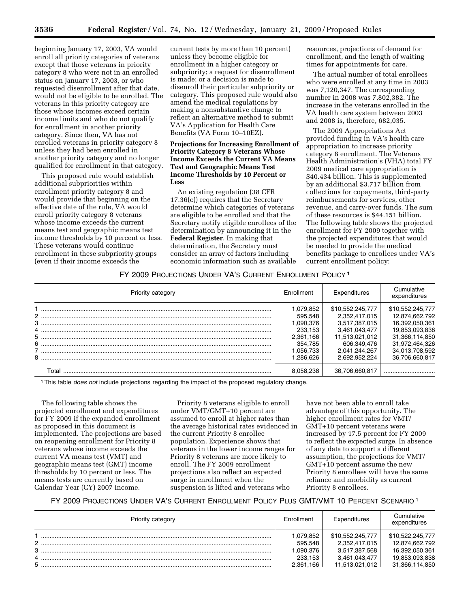beginning January 17, 2003, VA would enroll all priority categories of veterans except that those veterans in priority category 8 who were not in an enrolled status on January 17, 2003, or who requested disenrollment after that date, would not be eligible to be enrolled. The veterans in this priority category are those whose incomes exceed certain income limits and who do not qualify for enrollment in another priority category. Since then, VA has not enrolled veterans in priority category 8 unless they had been enrolled in another priority category and no longer qualified for enrollment in that category.

This proposed rule would establish additional subpriorities within enrollment priority category 8 and would provide that beginning on the effective date of the rule, VA would enroll priority category 8 veterans whose income exceeds the current means test and geographic means test income thresholds by 10 percent or less. These veterans would continue enrollment in these subpriority groups (even if their income exceeds the

current tests by more than 10 percent) unless they become eligible for enrollment in a higher category or subpriority; a request for disenrollment is made; or a decision is made to disenroll their particular subpriority or category. This proposed rule would also amend the medical regulations by making a nonsubstantive change to reflect an alternative method to submit VA's Application for Health Care Benefits (VA Form 10–10EZ).

# **Projections for Increasing Enrollment of Priority Category 8 Veterans Whose Income Exceeds the Current VA Means Test and Geographic Means Test Income Thresholds by 10 Percent or Less**

An existing regulation (38 CFR 17.36(c)) requires that the Secretary determine which categories of veterans are eligible to be enrolled and that the Secretary notify eligible enrollees of the determination by announcing it in the **Federal Register**. In making that determination, the Secretary must consider an array of factors including economic information such as available resources, projections of demand for enrollment, and the length of waiting times for appointments for care.

The actual number of total enrollees who were enrolled at any time in 2003 was 7,120,347. The corresponding number in 2008 was 7,802,382. The increase in the veterans enrolled in the VA health care system between 2003 and 2008 is, therefore, 682,035.

The 2009 Appropriations Act provided funding in VA's health care appropriation to increase priority category 8 enrollment. The Veterans Health Administration's (VHA) total FY 2009 medical care appropriation is \$40.434 billion. This is supplemented by an additional \$3.717 billion from collections for copayments, third-party reimbursements for services, other revenue, and carry-over funds. The sum of these resources is \$44.151 billion. The following table shows the projected enrollment for FY 2009 together with the projected expenditures that would be needed to provide the medical benefits package to enrollees under VA's current enrollment policy:

# FY 2009 PROJECTIONS UNDER VA'S CURRENT ENROLLMENT POLICY 1

| Priority category | Enrollment                                                                                    | Expenditures                                                                                                                           | Cumulative<br>expenditures                                                                                                                     |
|-------------------|-----------------------------------------------------------------------------------------------|----------------------------------------------------------------------------------------------------------------------------------------|------------------------------------------------------------------------------------------------------------------------------------------------|
| 4<br>8            | 1,079,852<br>595.548<br>1,090,376<br>233.153<br>2.361.166<br>354.785<br>1.056.733<br>.286.626 | \$10,552,245,777<br>2,352,417,015<br>3,517,387,015<br>3,461,043,477<br>11,513,021,012<br>606.349.476<br>2,041,244,267<br>2.692.952.224 | \$10.552.245.777<br>12,874,662,792<br>16,392,050,361<br>19,853,093,838<br>31,366,114,850<br>31,972,464,326<br>34,013,708,592<br>36,706,660,817 |
| ⊺ota              | 8.058.238                                                                                     | 36.706.660.817                                                                                                                         |                                                                                                                                                |

1This table *does not* include projections regarding the impact of the proposed regulatory change.

The following table shows the projected enrollment and expenditures for FY 2009 if the expanded enrollment as proposed in this document is implemented. The projections are based on reopening enrollment for Priority 8 veterans whose income exceeds the current VA means test (VMT) and geographic means test (GMT) income thresholds by 10 percent or less. The means tests are currently based on Calendar Year (CY) 2007 income.

Priority 8 veterans eligible to enroll under VMT/GMT+10 percent are assumed to enroll at higher rates than the average historical rates evidenced in the current Priority 8 enrollee population. Experience shows that veterans in the lower income ranges for Priority 8 veterans are more likely to enroll. The FY 2009 enrollment projections also reflect an expected surge in enrollment when the suspension is lifted and veterans who

have not been able to enroll take advantage of this opportunity. The higher enrollment rates for VMT/ GMT+10 percent veterans were increased by 17.5 percent for FY 2009 to reflect the expected surge. In absence of any data to support a different assumption, the projections for VMT/ GMT+10 percent assume the new Priority 8 enrollees will have the same reliance and morbidity as current Priority 8 enrollees.

# FY 2009 PROJECTIONS UNDER VA'S CURRENT ENROLLMENT POLICY PLUS GMT/VMT 10 PERCENT SCENARIO<sup>1</sup>

| Priority category | Enrollment                                 | Expenditures                                                        | Cumulative<br>expenditures                                             |
|-------------------|--------------------------------------------|---------------------------------------------------------------------|------------------------------------------------------------------------|
| C<br>P            | .079.852<br>595,548<br>,090,376<br>233,153 | \$10,552,245,777<br>2,352,417,015<br>3,517,387,568<br>3,461,043,477 | \$10.522.245.777<br>12.874.662.792<br>16.392.050.361<br>19,853,093,838 |
| 5                 | 2.361.166                                  | 11,513,021,012                                                      | 31.366.114.850                                                         |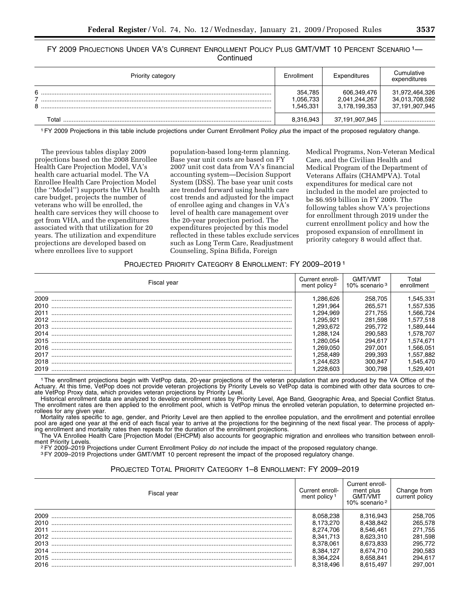FY 2009 PROJECTIONS UNDER VA'S CURRENT ENROLLMENT POLICY PLUS GMT/VMT 10 PERCENT SCENARIO 1-**Continued** 

| Priority category | Enrollment                       | Expenditures                                  | Cumulative<br>expenditures                         |
|-------------------|----------------------------------|-----------------------------------------------|----------------------------------------------------|
| 6<br>⇁<br>8       | 354,785<br>.056,733<br>1,545,331 | 606,349,476<br>2,041,244,267<br>3,178,199,353 | 31,972,464,326<br>34,013,708,592<br>37,191,907,945 |
| Total             | 8,316,943                        | 37,191,907,945                                |                                                    |

1FY 2009 Projections in this table include projections under Current Enrollment Policy *plus* the impact of the proposed regulatory change.

The previous tables display 2009 projections based on the 2008 Enrollee Health Care Projection Model, VA's health care actuarial model. The VA Enrollee Health Care Projection Model (the ''Model'') supports the VHA health care budget, projects the number of veterans who will be enrolled, the health care services they will choose to get from VHA, and the expenditures associated with that utilization for 20 years. The utilization and expenditure projections are developed based on where enrollees live to support

population-based long-term planning. Base year unit costs are based on FY 2007 unit cost data from VA's financial accounting system—Decision Support System (DSS). The base year unit costs are trended forward using health care cost trends and adjusted for the impact of enrollee aging and changes in VA's level of health care management over the 20-year projection period. The expenditures projected by this model reflected in these tables exclude services such as Long Term Care, Readjustment Counseling, Spina Bifida, Foreign

Medical Programs, Non-Veteran Medical Care, and the Civilian Health and Medical Program of the Department of Veterans Affairs (CHAMPVA). Total expenditures for medical care not included in the model are projected to be \$6.959 billion in FY 2009. The following tables show VA's projections for enrollment through 2019 under the current enrollment policy and how the proposed expansion of enrollment in priority category 8 would affect that.

# PROJECTED PRIORITY CATEGORY 8 ENROLLMENT: FY 2009–2019 1

| Fiscal year | Current enroll-<br>ment policy <sup>2</sup> | GMT/VMT<br>10% scenario <sup>3</sup> | ⊺otal<br>enrollment |
|-------------|---------------------------------------------|--------------------------------------|---------------------|
| 2009        | .286.626                                    | 258.705                              | .545,331            |
| 2010        | .291.964                                    | 265.571                              | .557,535            |
| 2011        | .294.969                                    | 271.755                              | .566.724            |
| 2012        | .295.921                                    | 281.598                              | 577,518             |
| 2013        | .293.672                                    | 295.772                              | 1,589,444           |
| 2014        | .288.124                                    | 290.583                              | 1.578.707           |
| 2015        | 280.054                                     | 294.617                              | 574.671.ا           |
| 2016        | .269.050                                    | 297.001                              | .566.051            |
| 2017        | 258.489                                     | 299.393                              | 882,557,6           |
| 2018        | .244.623                                    | 300.847                              | .545.470            |
| 2019        |                                             | 300.798                              | .529.401            |

1The enrollment projections begin with VetPop data, 20-year projections of the veteran population that are produced by the VA Office of the Actuary. At this time, VetPop does not provide veteran projections by Priority Levels so VetPop data is combined with other data sources to create VetPop Proxy data, which provides veteran projections by Priority Level.

Historical enrollment data are analyzed to develop enrollment rates by Priority Level, Age Band, Geographic Area, and Special Conflict Status. The enrollment rates are then applied to the enrollment pool, which is VetPop minus the enrolled veteran population, to determine projected enrollees for any given year.

Mortality rates specific to age, gender, and Priority Level are then applied to the enrollee population, and the enrollment and potential enrollee pool are aged one year at the end of each fiscal year to arrive at the projections for the beginning of the next fiscal year. The process of applying enrollment and mortality rates then repeats for the duration of the enrollment projections.

The VA Enrollee Health Care [Projection Model (EHCPM) also accounts for geographic migration and enrollees who transition between enroll-<br>ment Priority Levels.

<sup>2</sup> FY 2009–2019 Projections under Current Enrollment Policy *do not* include the impact of the proposed regulatory change.<br><sup>3</sup> FY 2009–2019 Projections under GMT/VMT 10 percent represent the impact of the proposed regulat

# PROJECTED TOTAL PRIORITY CATEGORY 1–8 ENROLLMENT: FY 2009–2019

| Fiscal year | Current enroll-<br>ment policy <sup>1</sup> | Current enroll-<br>ment plus<br><b>GMT/VMT</b><br>10% scenario <sup>2</sup> | Change from<br>current policy |
|-------------|---------------------------------------------|-----------------------------------------------------------------------------|-------------------------------|
| 2009        | 8.058.238                                   | 8,316,943                                                                   | 258,705                       |
| 2010        | 8.173.270                                   | 8.438.842                                                                   | 265,578                       |
| 2011        | 8.274.706                                   | 8.546.461                                                                   | 271,755                       |
| 2012        | 8.341.713                                   | 8.623.310                                                                   | 281,598                       |
| 2013        | 8.378.061                                   | 8.673.833                                                                   | 295,772                       |
| 2014        | 8.384.127                                   | 8.674.710                                                                   | 290,583                       |
| 2015        | 8.364.224                                   | 8.658.841                                                                   | 294,617                       |
| 2016        | 8.318.496                                   | 8.615.497                                                                   | 297.001                       |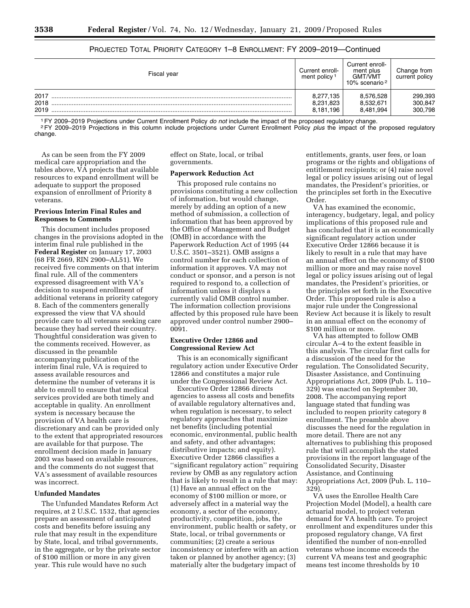| Fiscal year | Current enroll-<br>ment policy <sup>1</sup> | Current enroll-<br>ment plus<br><b>GMT/VMT</b><br>10% scenario <sup>2</sup> | Change from<br>current policy |  |
|-------------|---------------------------------------------|-----------------------------------------------------------------------------|-------------------------------|--|
| 2017        | 8,277,135                                   | 8.576.528                                                                   | 299,393                       |  |
| 2018        | 8,231,823                                   | 8.532.671                                                                   | 300.847                       |  |
| 2019        | 8,181,196                                   | 8,481,994                                                                   | 300,798                       |  |

# PROJECTED TOTAL PRIORITY CATEGORY 1–8 ENROLLMENT: FY 2009–2019—Continued

<sup>1</sup> FY 2009–2019 Projections under Current Enrollment Policy *do not* include the impact of the proposed regulatory change.<br><sup>2</sup> FY 2009–2019 Projections in this column include projections under Current Enrollment Policy *p* change.

As can be seen from the FY 2009 medical care appropriation and the tables above, VA projects that available resources to expand enrollment will be adequate to support the proposed expansion of enrollment of Priority 8 veterans.

## **Previous Interim Final Rules and Responses to Comments**

This document includes proposed changes in the provisions adopted in the interim final rule published in the **Federal Register** on January 17, 2003 (68 FR 2669, RIN 2900–AL51). We received five comments on that interim final rule. All of the commenters expressed disagreement with VA's decision to suspend enrollment of additional veterans in priority category 8. Each of the commenters generally expressed the view that VA should provide care to all veterans seeking care because they had served their country. Thoughtful consideration was given to the comments received. However, as discussed in the preamble accompanying publication of the interim final rule, VA is required to assess available resources and determine the number of veterans it is able to enroll to ensure that medical services provided are both timely and acceptable in quality. An enrollment system is necessary because the provision of VA health care is discretionary and can be provided only to the extent that appropriated resources are available for that purpose. The enrollment decision made in January 2003 was based on available resources, and the comments do not suggest that VA's assessment of available resources was incorrect.

# **Unfunded Mandates**

The Unfunded Mandates Reform Act requires, at 2 U.S.C. 1532, that agencies prepare an assessment of anticipated costs and benefits before issuing any rule that may result in the expenditure by State, local, and tribal governments, in the aggregate, or by the private sector of \$100 million or more in any given year. This rule would have no such

effect on State, local, or tribal governments.

#### **Paperwork Reduction Act**

This proposed rule contains no provisions constituting a new collection of information, but would change, merely by adding an option of a new method of submission, a collection of information that has been approved by the Office of Management and Budget (OMB) in accordance with the Paperwork Reduction Act of 1995 (44 U.S.C. 3501–3521). OMB assigns a control number for each collection of information it approves. VA may not conduct or sponsor, and a person is not required to respond to, a collection of information unless it displays a currently valid OMB control number. The information collection provisions affected by this proposed rule have been approved under control number 2900– 0091.

### **Executive Order 12866 and Congressional Review Act**

This is an economically significant regulatory action under Executive Order 12866 and constitutes a major rule under the Congressional Review Act.

Executive Order 12866 directs agencies to assess all costs and benefits of available regulatory alternatives and, when regulation is necessary, to select regulatory approaches that maximize net benefits (including potential economic, environmental, public health and safety, and other advantages; distributive impacts; and equity). Executive Order 12866 classifies a ''significant regulatory action'' requiring review by OMB as any regulatory action that is likely to result in a rule that may: (1) Have an annual effect on the economy of \$100 million or more, or adversely affect in a material way the economy, a sector of the economy, productivity, competition, jobs, the environment, public health or safety, or State, local, or tribal governments or communities; (2) create a serious inconsistency or interfere with an action taken or planned by another agency; (3) materially alter the budgetary impact of

entitlements, grants, user fees, or loan programs or the rights and obligations of entitlement recipients; or (4) raise novel legal or policy issues arising out of legal mandates, the President's priorities, or the principles set forth in the Executive Order.

VA has examined the economic, interagency, budgetary, legal, and policy implications of this proposed rule and has concluded that it is an economically significant regulatory action under Executive Order 12866 because it is likely to result in a rule that may have an annual effect on the economy of \$100 million or more and may raise novel legal or policy issues arising out of legal mandates, the President's priorities, or the principles set forth in the Executive Order. This proposed rule is also a major rule under the Congressional Review Act because it is likely to result in an annual effect on the economy of \$100 million or more.

VA has attempted to follow OMB circular A–4 to the extent feasible in this analysis. The circular first calls for a discussion of the need for the regulation. The Consolidated Security, Disaster Assistance, and Continuing Appropriations Act, 2009 (Pub. L. 110– 329) was enacted on September 30, 2008. The accompanying report language stated that funding was included to reopen priority category 8 enrollment. The preamble above discusses the need for the regulation in more detail. There are not any alternatives to publishing this proposed rule that will accomplish the stated provisions in the report language of the Consolidated Security, Disaster Assistance, and Continuing Appropriations Act, 2009 (Pub. L. 110– 329).

VA uses the Enrollee Health Care Projection Model (Model), a health care actuarial model, to project veteran demand for VA health care. To project enrollment and expenditures under this proposed regulatory change, VA first identified the number of non-enrolled veterans whose income exceeds the current VA means test and geographic means test income thresholds by 10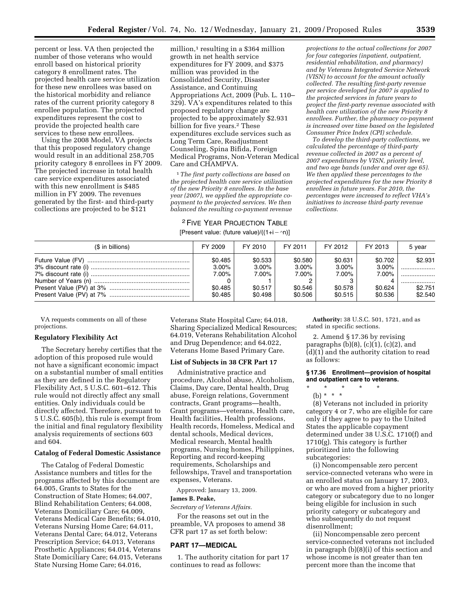percent or less. VA then projected the number of those veterans who would enroll based on historical priority category 8 enrollment rates. The projected health care service utilization for these new enrollees was based on the historical morbidity and reliance rates of the current priority category 8 enrollee population. The projected expenditures represent the cost to provide the projected health care services to these new enrollees.

Using the 2008 Model, VA projects that this proposed regulatory change would result in an additional 258,705 priority category 8 enrollees in FY 2009. The projected increase in total health care service expenditures associated with this new enrollment is \$485 million in FY 2009. The revenues generated by the first- and third-party collections are projected to be \$121

million,<sup>1</sup> resulting in a \$364 million growth in net health service expenditures for FY 2009, and \$375 million was provided in the Consolidated Security, Disaster Assistance, and Continuing Appropriations Act, 2009 (Pub. L. 110– 329). VA's expenditures related to this proposed regulatory change are projected to be approximately \$2.931 billion for five years.<sup>2</sup> These expenditures exclude services such as Long Term Care, Readjustment Counseling, Spina Bifida, Foreign Medical Programs, Non-Veteran Medical Care and CHAMPVA.

1*The first party collections are based on the projected health care service utilization of the new Priority 8 enrollees. In the base year (2007), we applied the appropriate copayment to the projected services. We then balanced the resulting co-payment revenue* 

# 2 FIVE YEAR PROJECTION TABLE

[Present value: (future value)/((1+i - ^n)]

*projections to the actual collections for 2007 for four categories (inpatient, outpatient, residential rehabilitation, and pharmacy) and by Veterans Integrated Service Network (VISN) to account for the amount actually collected. The resulting first-party revenue per service developed for 2007 is applied to the projected services in future years to project the first-party revenue associated with health care utilization of the new Priority 8 enrollees. Further, the pharmacy co-payment is increased over time based on the legislated Consumer Price Index (CPI) schedule.* 

*To develop the third-party collections, we calculated the percentage of third-party revenue collected in 2007 as a percent of 2007 expenditures by VISN, priority level, and two age bands (under and over age 65). We then applied these percentages to the projected expenditures for the new Priority 8 enrollees in future years. For 2010, the percentages were increased to reflect VHA's initiatives to increase third-party revenue collections.* 

| (\$ in billions) | FY 2009                                 | FY 2010                                    | FY 2011                                    | FY 2012                                 | FY 2013                                 | 5 year                          |
|------------------|-----------------------------------------|--------------------------------------------|--------------------------------------------|-----------------------------------------|-----------------------------------------|---------------------------------|
|                  | \$0.485<br>$3.00\%$<br>7.00%<br>\$0.485 | \$0.533<br>$3.00\%$<br>$7.00\%$<br>\$0.517 | \$0.580<br>$3.00\%$<br>$7.00\%$<br>\$0.546 | \$0.631<br>$3.00\%$<br>7.00%<br>\$0.578 | \$0.702<br>$3.00\%$<br>7.00%<br>\$0.624 | \$2.931<br><br>.<br><br>\$2.751 |
|                  | \$0.485                                 | \$0.498                                    | \$0.506                                    | \$0.515                                 | \$0.536                                 | \$2.540                         |

VA requests comments on all of these projections.

#### **Regulatory Flexibility Act**

The Secretary hereby certifies that the adoption of this proposed rule would not have a significant economic impact on a substantial number of small entities as they are defined in the Regulatory Flexibility Act, 5 U.S.C. 601–612. This rule would not directly affect any small entities. Only individuals could be directly affected. Therefore, pursuant to 5 U.S.C. 605(b), this rule is exempt from the initial and final regulatory flexibility analysis requirements of sections 603 and 604.

#### **Catalog of Federal Domestic Assistance**

The Catalog of Federal Domestic Assistance numbers and titles for the programs affected by this document are 64.005, Grants to States for the Construction of State Homes; 64.007, Blind Rehabilitation Centers; 64.008, Veterans Domiciliary Care; 64.009, Veterans Medical Care Benefits; 64.010, Veterans Nursing Home Care; 64.011, Veterans Dental Care; 64.012, Veterans Prescription Service; 64.013, Veterans Prosthetic Appliances; 64.014, Veterans State Domiciliary Care; 64.015, Veterans State Nursing Home Care; 64.016,

Veterans State Hospital Care; 64.018, Sharing Specialized Medical Resources; 64.019, Veterans Rehabilitation Alcohol and Drug Dependence; and 64.022, Veterans Home Based Primary Care.

#### **List of Subjects in 38 CFR Part 17**

Administrative practice and procedure, Alcohol abuse, Alcoholism, Claims, Day care, Dental health, Drug abuse, Foreign relations, Government contracts, Grant programs—health, Grant programs—veterans, Health care, Health facilities, Health professions, Health records, Homeless, Medical and dental schools, Medical devices, Medical research, Mental health programs, Nursing homes, Philippines, Reporting and record-keeping requirements, Scholarships and fellowships, Travel and transportation expenses, Veterans.

Approved: January 13, 2009.

#### **James B. Peake,**

*Secretary of Veterans Affairs.* 

For the reasons set out in the preamble, VA proposes to amend 38 CFR part 17 as set forth below:

## **PART 17—MEDICAL**

1. The authority citation for part 17 continues to read as follows:

**Authority:** 38 U.S.C. 501, 1721, and as stated in specific sections.

2. Amend § 17.36 by revising paragraphs  $(b)(8)$ ,  $(c)(1)$ ,  $(c)(2)$ , and (d)(1) and the authority citation to read as follows:

#### **§ 17.36 Enrollment—provision of hospital and outpatient care to veterans.**

\* \* \* \* \* (b) \* \* \*

(8) Veterans not included in priority category 4 or 7, who are eligible for care only if they agree to pay to the United States the applicable copayment determined under 38 U.S.C. 1710(f) and 1710(g). This category is further prioritized into the following subcategories:

(i) Noncompensable zero percent service-connected veterans who were in an enrolled status on January 17, 2003, or who are moved from a higher priority category or subcategory due to no longer being eligible for inclusion in such priority category or subcategory and who subsequently do not request disenrollment;

(ii) Noncompensable zero percent service-connected veterans not included in paragraph (b)(8)(i) of this section and whose income is not greater than ten percent more than the income that